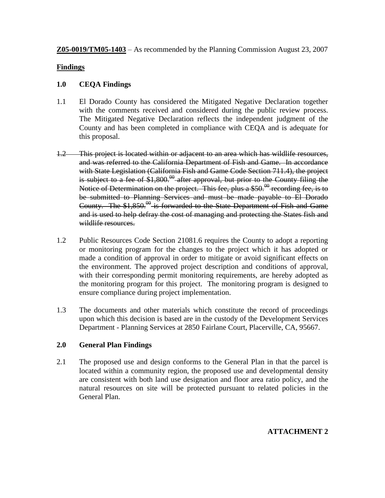**Z05-0019/TM05-1403** – As recommended by the Planning Commission August 23, 2007

#### **Findings**

#### **1.0 CEQA Findings**

- 1.1 El Dorado County has considered the Mitigated Negative Declaration together with the comments received and considered during the public review process. The Mitigated Negative Declaration reflects the independent judgment of the County and has been completed in compliance with CEQA and is adequate for this proposal.
- 1.2 This project is located within or adjacent to an area which has wildlife resources, and was referred to the California Department of Fish and Game. In accordance with State Legislation (California Fish and Game Code Section 711.4), the project is subject to a fee of  $$1,800$ .<sup>00</sup> after approval, but prior to the County filing the Notice of Determination on the project. This fee, plus a  $$50<sup>00</sup>$  recording fee, is to be submitted to Planning Services and must be made payable to El Dorado County. The  $$1,850$ .<sup> $\theta$ </sup> is forwarded to the State Department of Fish and Game and is used to help defray the cost of managing and protecting the States fish and wildlife resources.
- 1.2 Public Resources Code Section 21081.6 requires the County to adopt a reporting or monitoring program for the changes to the project which it has adopted or made a condition of approval in order to mitigate or avoid significant effects on the environment. The approved project description and conditions of approval, with their corresponding permit monitoring requirements, are hereby adopted as the monitoring program for this project. The monitoring program is designed to ensure compliance during project implementation.
- 1.3 The documents and other materials which constitute the record of proceedings upon which this decision is based are in the custody of the Development Services Department - Planning Services at 2850 Fairlane Court, Placerville, CA, 95667.

# **2.0 General Plan Findings**

2.1 The proposed use and design conforms to the General Plan in that the parcel is located within a community region, the proposed use and developmental density are consistent with both land use designation and floor area ratio policy, and the natural resources on site will be protected pursuant to related policies in the General Plan.

#### **ATTACHMENT 2**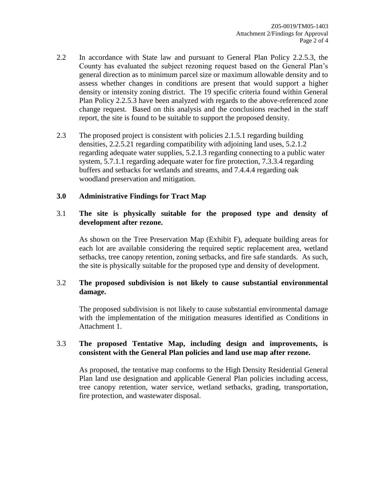- 2.2 In accordance with State law and pursuant to General Plan Policy 2.2.5.3, the County has evaluated the subject rezoning request based on the General Plan's general direction as to minimum parcel size or maximum allowable density and to assess whether changes in conditions are present that would support a higher density or intensity zoning district. The 19 specific criteria found within General Plan Policy 2.2.5.3 have been analyzed with regards to the above-referenced zone change request. Based on this analysis and the conclusions reached in the staff report, the site is found to be suitable to support the proposed density.
- 2.3 The proposed project is consistent with policies 2.1.5.1 regarding building densities, 2.2.5.21 regarding compatibility with adjoining land uses, 5.2.1.2 regarding adequate water supplies, 5.2.1.3 regarding connecting to a public water system, 5.7.1.1 regarding adequate water for fire protection, 7.3.3.4 regarding buffers and setbacks for wetlands and streams, and 7.4.4.4 regarding oak woodland preservation and mitigation.

#### **3.0 Administrative Findings for Tract Map**

## 3.1 **The site is physically suitable for the proposed type and density of development after rezone.**

As shown on the Tree Preservation Map (Exhibit F), adequate building areas for each lot are available considering the required septic replacement area, wetland setbacks, tree canopy retention, zoning setbacks, and fire safe standards. As such, the site is physically suitable for the proposed type and density of development.

# 3.2 **The proposed subdivision is not likely to cause substantial environmental damage.**

The proposed subdivision is not likely to cause substantial environmental damage with the implementation of the mitigation measures identified as Conditions in Attachment 1.

#### 3.3 **The proposed Tentative Map, including design and improvements, is consistent with the General Plan policies and land use map after rezone.**

As proposed, the tentative map conforms to the High Density Residential General Plan land use designation and applicable General Plan policies including access, tree canopy retention, water service, wetland setbacks, grading, transportation, fire protection, and wastewater disposal.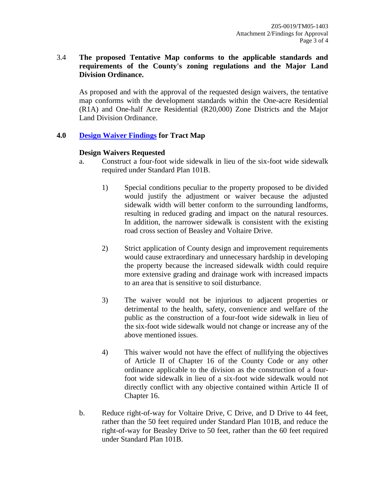# 3.4 **The proposed Tentative Map conforms to the applicable standards and requirements of the County's zoning regulations and the Major Land Division Ordinance.**

As proposed and with the approval of the requested design waivers, the tentative map conforms with the development standards within the One-acre Residential (R1A) and One-half Acre Residential (R20,000) Zone Districts and the Major Land Division Ordinance.

# **4.0 Design Waiver Findings for Tract Map**

# **Design Waivers Requested**

- a. Construct a four-foot wide sidewalk in lieu of the six-foot wide sidewalk required under Standard Plan 101B.
	- 1) Special conditions peculiar to the property proposed to be divided would justify the adjustment or waiver because the adjusted sidewalk width will better conform to the surrounding landforms, resulting in reduced grading and impact on the natural resources. In addition, the narrower sidewalk is consistent with the existing road cross section of Beasley and Voltaire Drive.
	- 2) Strict application of County design and improvement requirements would cause extraordinary and unnecessary hardship in developing the property because the increased sidewalk width could require more extensive grading and drainage work with increased impacts to an area that is sensitive to soil disturbance.
	- 3) The waiver would not be injurious to adjacent properties or detrimental to the health, safety, convenience and welfare of the public as the construction of a four-foot wide sidewalk in lieu of the six-foot wide sidewalk would not change or increase any of the above mentioned issues.
	- 4) This waiver would not have the effect of nullifying the objectives of Article II of Chapter 16 of the County Code or any other ordinance applicable to the division as the construction of a fourfoot wide sidewalk in lieu of a six-foot wide sidewalk would not directly conflict with any objective contained within Article II of Chapter 16.
- b. Reduce right-of-way for Voltaire Drive, C Drive, and D Drive to 44 feet, rather than the 50 feet required under Standard Plan 101B, and reduce the right-of-way for Beasley Drive to 50 feet, rather than the 60 feet required under Standard Plan 101B.